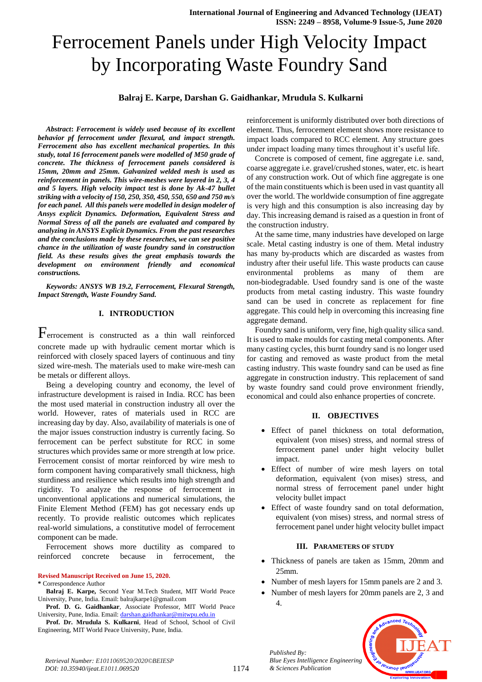# Ferrocement Panels under High Velocity Impact by Incorporating Waste Foundry Sand

#### **Balraj E. Karpe, Darshan G. Gaidhankar, Mrudula S. Kulkarni**

*Abstract***:** *Ferrocement is widely used because of its excellent behavior pf ferrocement under flexural, and impact strength. Ferrocement also has excellent mechanical properties. In this study, total 16 ferrocement panels were modelled of M50 grade of concrete. The thickness of ferrocement panels considered is 15mm, 20mm and 25mm. Galvanized welded mesh is used as reinforcement in panels. This wire-meshes were layered in 2, 3, 4 and 5 layers. High velocity impact test is done by Ak-47 bullet striking with a velocity of 150, 250, 350, 450, 550, 650 and 750 m/s for each panel. All this panels were modelled in design modeler of Ansys explicit Dynamics. Deformation, Equivalent Stress and Normal Stress of all the panels are evaluated and compared by analyzing in ANSYS Explicit Dynamics. From the past researches and the conclusions made by these researches, we can see positive chance in the utilization of waste foundry sand in construction field. As these results gives the great emphasis towards the development on environment friendly and economical constructions.*

*Keywords: ANSYS WB 19.2, Ferrocement, Flexural Strength, Impact Strength, Waste Foundry Sand.*

#### **I. INTRODUCTION**

Ferrocement is constructed as a thin wall reinforced concrete made up with hydraulic cement mortar which is reinforced with closely spaced layers of continuous and tiny sized wire-mesh. The materials used to make wire-mesh can be metals or different alloys.

Being a developing country and economy, the level of infrastructure development is raised in India. RCC has been the most used material in construction industry all over the world. However, rates of materials used in RCC are increasing day by day. Also, availability of materials is one of the major issues construction industry is currently facing. So ferrocement can be perfect substitute for RCC in some structures which provides same or more strength at low price. Ferrocement consist of mortar reinforced by wire mesh to form component having comparatively small thickness, high sturdiness and resilience which results into high strength and rigidity. To analyze the response of ferrocement in unconventional applications and numerical simulations, the Finite Element Method (FEM) has got necessary ends up recently. To provide realistic outcomes which replicates real-world simulations, a constitutive model of ferrocement component can be made.

Ferrocement shows more ductility as compared to reinforced concrete because in ferrocement, the

#### **Revised Manuscript Received on June 15, 2020.**

**\*** Correspondence Author

**Balraj E. Karpe,** Second Year M.Tech Student, MIT World Peace University, Pune, India. Email: balrajkarpe1@gmail.com

**Prof. D. G. Gaidhankar**, Associate Professor, MIT World Peace University, Pune, India. Email[: darshan.gaidhankar@mitwpu.edu.in](mailto:darshan.gaidhankar@mitwpu.edu.in)

**Prof. Dr. Mrudula S. Kulkarni**, Head of School, School of Civil Engineering, MIT World Peace University, Pune, India.

reinforcement is uniformly distributed over both directions of element. Thus, ferrocement element shows more resistance to impact loads compared to RCC element. Any structure goes under impact loading many times throughout it's useful life.

Concrete is composed of cement, fine aggregate i.e. sand, coarse aggregate i.e. gravel/crushed stones, water, etc. is heart of any construction work. Out of which fine aggregate is one of the main constituents which is been used in vast quantity all over the world. The worldwide consumption of fine aggregate is very high and this consumption is also increasing day by day. This increasing demand is raised as a question in front of the construction industry.

At the same time, many industries have developed on large scale. Metal casting industry is one of them. Metal industry has many by-products which are discarded as wastes from industry after their useful life. This waste products can cause environmental problems as many of them are non-biodegradable. Used foundry sand is one of the waste products from metal casting industry. This waste foundry sand can be used in concrete as replacement for fine aggregate. This could help in overcoming this increasing fine aggregate demand.

Foundry sand is uniform, very fine, high quality silica sand. It is used to make moulds for casting metal components. After many casting cycles, this burnt foundry sand is no longer used for casting and removed as waste product from the metal casting industry. This waste foundry sand can be used as fine aggregate in construction industry. This replacement of sand by waste foundry sand could prove environment friendly, economical and could also enhance properties of concrete.

#### **II. OBJECTIVES**

- Effect of panel thickness on total deformation, equivalent (von mises) stress, and normal stress of ferrocement panel under hight velocity bullet impact.
- Effect of number of wire mesh layers on total deformation, equivalent (von mises) stress, and normal stress of ferrocement panel under hight velocity bullet impact
- Effect of waste foundry sand on total deformation, equivalent (von mises) stress, and normal stress of ferrocement panel under hight velocity bullet impact

#### **III. PARAMETERS OF STUDY**

- Thickness of panels are taken as 15mm, 20mm and 25mm.
- Number of mesh layers for 15mm panels are 2 and 3.
- Number of mesh layers for 20mm panels are 2, 3 and 4.



*Retrieval Number: E1011069520/2020©BEIESP DOI: 10.35940/ijeat.E1011.069520*

*Published By:*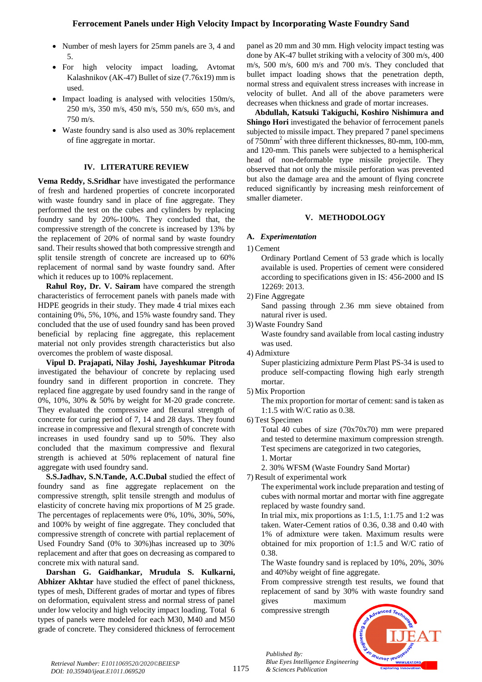- Number of mesh layers for 25mm panels are 3, 4 and 5.
- For high velocity impact loading, Avtomat Kalashnikov (AK-47) Bullet of size (7.76x19) mm is used.
- Impact loading is analysed with velocities 150m/s, 250 m/s, 350 m/s, 450 m/s, 550 m/s, 650 m/s, and 750 m/s.
- Waste foundry sand is also used as 30% replacement of fine aggregate in mortar.

# **IV. LITERATURE REVIEW**

**Vema Reddy, S.Sridhar** have investigated the performance of fresh and hardened properties of concrete incorporated with waste foundry sand in place of fine aggregate. They performed the test on the cubes and cylinders by replacing foundry sand by 20%-100%. They concluded that, the compressive strength of the concrete is increased by 13% by the replacement of 20% of normal sand by waste foundry sand. Their results showed that both compressive strength and split tensile strength of concrete are increased up to 60% replacement of normal sand by waste foundry sand. After which it reduces up to 100% replacement.

**Rahul Roy, Dr. V. Sairam** have compared the strength characteristics of ferrocement panels with panels made with HDPE geogrids in their study. They made 4 trial mixes each containing 0%, 5%, 10%, and 15% waste foundry sand. They concluded that the use of used foundry sand has been proved beneficial by replacing fine aggregate, this replacement material not only provides strength characteristics but also overcomes the problem of waste disposal.

**Vipul D. Prajapati, Nilay Joshi, Jayeshkumar Pitroda** investigated the behaviour of concrete by replacing used foundry sand in different proportion in concrete. They replaced fine aggregate by used foundry sand in the range of 0%, 10%, 30% & 50% by weight for M-20 grade concrete. They evaluated the compressive and flexural strength of concrete for curing period of 7, 14 and 28 days. They found increase in compressive and flexural strength of concrete with increases in used foundry sand up to 50%. They also concluded that the maximum compressive and flexural strength is achieved at 50% replacement of natural fine aggregate with used foundry sand.

**S.S.Jadhav, S.N.Tande, A.C.Dubal** studied the effect of foundry sand as fine aggregate replacement on the compressive strength, split tensile strength and modulus of elasticity of concrete having mix proportions of M 25 grade. The percentages of replacements were 0%, 10%, 30%, 50%, and 100% by weight of fine aggregate. They concluded that compressive strength of concrete with partial replacement of Used Foundry Sand (0% to 30%)has increased up to 30% replacement and after that goes on decreasing as compared to concrete mix with natural sand.

**Darshan G. Gaidhankar, Mrudula S. Kulkarni, Abhizer Akhtar** have studied the effect of panel thickness, types of mesh, Different grades of mortar and types of fibres on deformation, equivalent stress and normal stress of panel under low velocity and high velocity impact loading. Total 6 types of panels were modeled for each M30, M40 and M50 grade of concrete. They considered thickness of ferrocement

panel as 20 mm and 30 mm. High velocity impact testing was done by AK-47 bullet striking with a velocity of 300 m/s, 400 m/s, 500 m/s, 600 m/s and 700 m/s. They concluded that bullet impact loading shows that the penetration depth, normal stress and equivalent stress increases with increase in velocity of bullet. And all of the above parameters were decreases when thickness and grade of mortar increases.

**Abdullah, Katsuki Takiguchi, Koshiro Nishimura and Shingo Hori** investigated the behavior of ferrocement panels subjected to missile impact. They prepared 7 panel specimens of 750mm<sup>2</sup> with three different thicknesses, 80-mm, 100-mm, and 120-mm. This panels were subjected to a hemispherical head of non-deformable type missile projectile. They observed that not only the missile perforation was prevented but also the damage area and the amount of flying concrete reduced significantly by increasing mesh reinforcement of smaller diameter.

# **V. METHODOLOGY**

# **A.** *Experimentation*

1) Cement

Ordinary Portland Cement of 53 grade which is locally available is used. Properties of cement were considered according to specifications given in IS: 456-2000 and IS 12269: 2013.

2) Fine Aggregate

Sand passing through 2.36 mm sieve obtained from natural river is used.

3) Waste Foundry Sand

Waste foundry sand available from local casting industry was used.

4) Admixture

Super plasticizing admixture Perm Plast PS-34 is used to produce self-compacting flowing high early strength mortar.

5) Mix Proportion

The mix proportion for mortar of cement: sand is taken as 1:1.5 with W/C ratio as 0.38.

6) Test Specimen

Total 40 cubes of size (70x70x70) mm were prepared and tested to determine maximum compression strength. Test specimens are categorized in two categories,

1. Mortar

2. 30% WFSM (Waste Foundry Sand Mortar)

7) Result of experimental work

The experimental work include preparation and testing of cubes with normal mortar and mortar with fine aggregate replaced by waste foundry sand.

In trial mix, mix proportions as 1:1.5, 1:1.75 and 1:2 was taken. Water-Cement ratios of 0.36, 0.38 and 0.40 with 1% of admixture were taken. Maximum results were obtained for mix proportion of 1:1.5 and W/C ratio of 0.38.

The Waste foundry sand is replaced by 10%, 20%, 30% and 40%by weight of fine aggregate.

From compressive strength test results, we found that replacement of sand by 30% with waste foundry sand gives maximum

compressive strength

*& Sciences Publication* 

*Published By:*

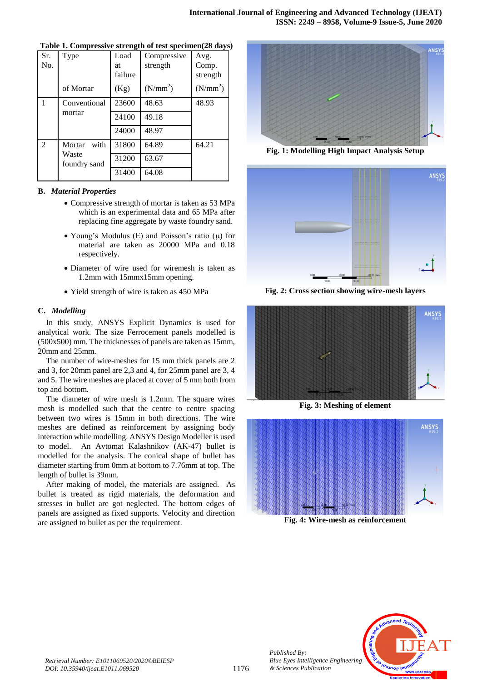| Sr.<br>No. | Type                  | Load<br>at<br>failure | Compressive<br>strength | Avg.<br>Comp.<br>strength |
|------------|-----------------------|-----------------------|-------------------------|---------------------------|
|            | of Mortar             | (Kg)                  | (N/mm <sup>2</sup> )    | (N/mm <sup>2</sup> )      |
|            | Conventional          | 23600                 | 48.63                   | 48.93                     |
|            | mortar                | 24100                 | 49.18                   |                           |
|            |                       | 24000                 | 48.97                   |                           |
| 2          | Mortar<br>with        | 31800                 | 64.89                   | 64.21                     |
|            | Waste<br>foundry sand | 31200                 | 63.67                   |                           |
|            |                       | 31400                 | 64.08                   |                           |

|  | Table 1. Compressive strength of test specimen(28 days) |  |  |  |  |
|--|---------------------------------------------------------|--|--|--|--|
|--|---------------------------------------------------------|--|--|--|--|

#### **B.** *Material Properties*

- Compressive strength of mortar is taken as 53 MPa which is an experimental data and 65 MPa after replacing fine aggregate by waste foundry sand.
- Young's Modulus (E) and Poisson's ratio  $(\mu)$  for material are taken as 20000 MPa and 0.18 respectively.
- Diameter of wire used for wiremesh is taken as 1.2mm with 15mmx15mm opening.
- Yield strength of wire is taken as 450 MPa

#### **C.** *Modelling*

In this study, ANSYS Explicit Dynamics is used for analytical work. The size Ferrocement panels modelled is (500x500) mm. The thicknesses of panels are taken as 15mm, 20mm and 25mm.

The number of wire-meshes for 15 mm thick panels are 2 and 3, for 20mm panel are 2,3 and 4, for 25mm panel are 3, 4 and 5. The wire meshes are placed at cover of 5 mm both from top and bottom.

The diameter of wire mesh is 1.2mm. The square wires mesh is modelled such that the centre to centre spacing between two wires is 15mm in both directions. The wire meshes are defined as reinforcement by assigning body interaction while modelling. ANSYS Design Modeller is used to model. An Avtomat Kalashnikov (AK-47) bullet is modelled for the analysis. The conical shape of bullet has diameter starting from 0mm at bottom to 7.76mm at top. The length of bullet is 39mm.

After making of model, the materials are assigned. As bullet is treated as rigid materials, the deformation and stresses in bullet are got neglected. The bottom edges of panels are assigned as fixed supports. Velocity and direction are assigned to bullet as per the requirement.



**Fig. 1: Modelling High Impact Analysis Setup**



**Fig. 2: Cross section showing wire-mesh layers**



**Fig. 3: Meshing of element**



**Fig. 4: Wire-mesh as reinforcement**



*Published By:*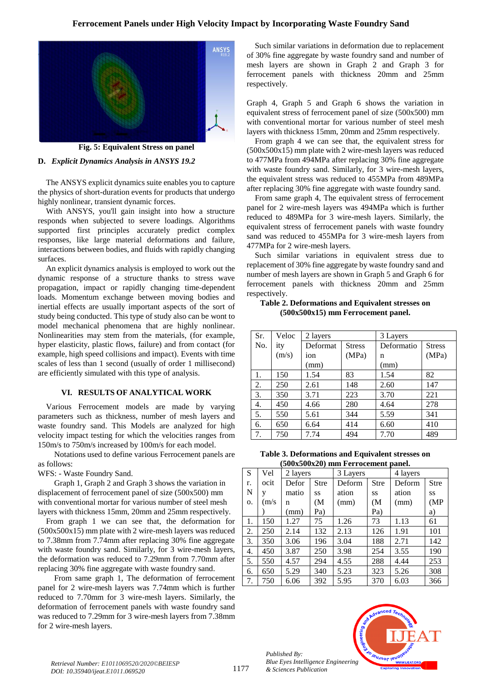# **Ferrocement Panels under High Velocity Impact by Incorporating Waste Foundry Sand**



**Fig. 5: Equivalent Stress on panel**

#### **D.** *Explicit Dynamics Analysis in ANSYS 19.2*

The ANSYS explicit dynamics suite enables you to capture the physics of short-duration events for products that undergo highly nonlinear, transient dynamic forces.

With ANSYS, you'll gain insight into how a structure responds when subjected to severe loadings. Algorithms supported first principles accurately predict complex responses, like large material deformations and failure, interactions between bodies, and fluids with rapidly changing surfaces.

An explicit dynamics analysis is employed to work out the dynamic response of a structure thanks to stress wave propagation, impact or rapidly changing time-dependent loads. Momentum exchange between moving bodies and inertial effects are usually important aspects of the sort of study being conducted. This type of study also can be wont to model mechanical phenomena that are highly nonlinear. Nonlinearities may stem from the materials, (for example, hyper elasticity, plastic flows, failure) and from contact (for example, high speed collisions and impact). Events with time scales of less than 1 second (usually of order 1 millisecond) are efficiently simulated with this type of analysis.

#### **VI. RESULTS OF ANALYTICAL WORK**

Various Ferrocement models are made by varying parameters such as thickness, number of mesh layers and waste foundry sand. This Models are analyzed for high velocity impact testing for which the velocities ranges from 150m/s to 750m/s increased by 100m/s for each model.

Notations used to define various Ferrocement panels are as follows:

WFS: - Waste Foundry Sand.

Graph 1, Graph 2 and Graph 3 shows the variation in displacement of ferrocement panel of size (500x500) mm with conventional mortar for various number of steel mesh layers with thickness 15mm, 20mm and 25mm respectively.

From graph 1 we can see that, the deformation for (500x500x15) mm plate with 2 wire-mesh layers was reduced to 7.38mm from 7.74mm after replacing 30% fine aggregate with waste foundry sand. Similarly, for 3 wire-mesh layers, the deformation was reduced to 7.29mm from 7.70mm after replacing 30% fine aggregate with waste foundry sand.

From same graph 1, The deformation of ferrocement panel for 2 wire-mesh layers was 7.74mm which is further reduced to 7.70mm for 3 wire-mesh layers. Similarly, the deformation of ferrocement panels with waste foundry sand was reduced to 7.29mm for 3 wire-mesh layers from 7.38mm for 2 wire-mesh layers.

Such similar variations in deformation due to replacement of 30% fine aggregate by waste foundry sand and number of mesh layers are shown in Graph 2 and Graph 3 for ferrocement panels with thickness 20mm and 25mm respectively.

Graph 4, Graph 5 and Graph 6 shows the variation in equivalent stress of ferrocement panel of size (500x500) mm with conventional mortar for various number of steel mesh layers with thickness 15mm, 20mm and 25mm respectively.

From graph 4 we can see that, the equivalent stress for (500x500x15) mm plate with 2 wire-mesh layers was reduced to 477MPa from 494MPa after replacing 30% fine aggregate with waste foundry sand. Similarly, for 3 wire-mesh layers, the equivalent stress was reduced to 455MPa from 489MPa after replacing 30% fine aggregate with waste foundry sand.

From same graph 4, The equivalent stress of ferrocement panel for 2 wire-mesh layers was 494MPa which is further reduced to 489MPa for 3 wire-mesh layers. Similarly, the equivalent stress of ferrocement panels with waste foundry sand was reduced to 455MPa for 3 wire-mesh layers from 477MPa for 2 wire-mesh layers.

Such similar variations in equivalent stress due to replacement of 30% fine aggregate by waste foundry sand and number of mesh layers are shown in Graph 5 and Graph 6 for ferrocement panels with thickness 20mm and 25mm respectively.

#### **Table 2. Deformations and Equivalent stresses on (500x500x15) mm Ferrocement panel.**

| Sr.              | Veloc | 2 layers |               | 3 Layers   |               |  |
|------------------|-------|----------|---------------|------------|---------------|--|
| No.              | ity   | Deformat | <b>Stress</b> | Deformatio | <b>Stress</b> |  |
|                  | (m/s) | ion      | (MPa)         | n          | (MPa)         |  |
|                  |       | (mm)     |               | (mm)       |               |  |
| 1.               | 150   | 1.54     | 83            | 1.54       | 82            |  |
| 2.               | 250   | 2.61     | 148           | 2.60       | 147           |  |
| 3.               | 350   | 3.71     | 223           | 3.70       | 221           |  |
| $\overline{4}$ . | 450   | 4.66     | 280           | 4.64       | 278           |  |
| 5.               | 550   | 5.61     | 344           | 5.59       | 341           |  |
| 6.               | 650   | 6.64     | 414           | 6.60       | 410           |  |
| 7.               | 750   | 7.74     | 494           | 7.70       | 489           |  |

**Table 3. Deformations and Equivalent stresses on (500x500x20) mm Ferrocement panel.**

|    | <i>C</i> ovacovazo, min i ci roccincin panci. |          |      |          |             |          |             |  |  |  |
|----|-----------------------------------------------|----------|------|----------|-------------|----------|-------------|--|--|--|
| S  | Vel                                           | 2 layers |      | 3 Layers |             | 4 layers |             |  |  |  |
| r. | ocit                                          | Defor    | Stre | Deform   | <b>Stre</b> | Deform   | <b>Stre</b> |  |  |  |
| N  | V                                             | matio    | SS.  | ation    | SS          | ation    | SS          |  |  |  |
| 0. | (m/s)                                         | n        | (M   | (mm)     | (M          | (mm)     | (MP)        |  |  |  |
|    |                                               | (mm)     | Pa)  |          | Pa)         |          | a)          |  |  |  |
| 1. | 150                                           | 1.27     | 75   | 1.26     | 73          | 1.13     | 61          |  |  |  |
| 2. | 250                                           | 2.14     | 132  | 2.13     | 126         | 1.91     | 101         |  |  |  |
| 3. | 350                                           | 3.06     | 196  | 3.04     | 188         | 2.71     | 142         |  |  |  |
| 4. | 450                                           | 3.87     | 250  | 3.98     | 254         | 3.55     | 190         |  |  |  |
| 5. | 550                                           | 4.57     | 294  | 4.55     | 288         | 4.44     | 253         |  |  |  |
| 6. | 650                                           | 5.29     | 340  | 5.23     | 323         | 5.26     | 308         |  |  |  |
| 7. | 750                                           | 6.06     | 392  | 5.95     | 370         | 6.03     | 366         |  |  |  |



*Retrieval Number: E1011069520/2020©BEIESP DOI: 10.35940/ijeat.E1011.069520*

*Published By:*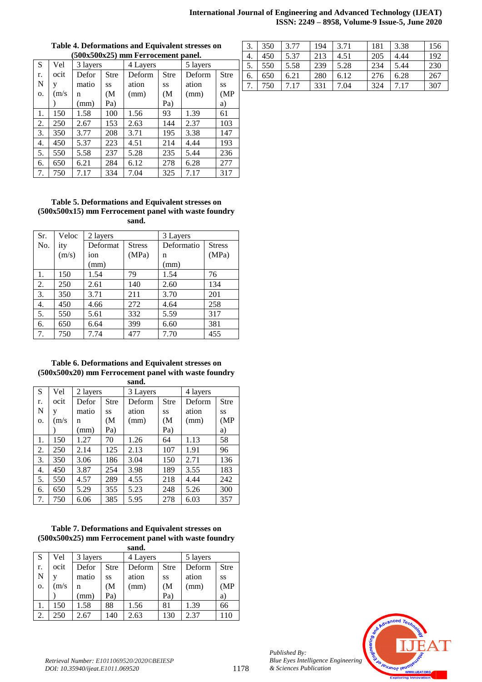#### **International Journal of Engineering and Advanced Technology (IJEAT) ISSN: 2249 – 8958, Volume-9 Issue-5, June 2020**

| $(500x500x25)$ mm Ferrocement panel. |       |          |             |          |                   |          |             |  |  |
|--------------------------------------|-------|----------|-------------|----------|-------------------|----------|-------------|--|--|
| S                                    | Vel   | 3 layers |             | 4 Layers |                   | 5 layers |             |  |  |
| r.                                   | ocit  | Defor    | <b>Stre</b> | Deform   | <b>Stre</b>       | Deform   | <b>Stre</b> |  |  |
| N                                    | V     | matio    | <b>SS</b>   | ation    | SS                | ation    | SS          |  |  |
| 0.                                   | (m/s) | n        | (M          | (mm)     | (M <sup>2</sup> ) | (mm)     | (MP)        |  |  |
|                                      |       | (mm)     | Pa)         |          | Pa)               |          | a)          |  |  |
| 1.                                   | 150   | 1.58     | 100         | 1.56     | 93                | 1.39     | 61          |  |  |
| 2.                                   | 250   | 2.67     | 153         | 2.63     | 144               | 2.37     | 103         |  |  |
| 3.                                   | 350   | 3.77     | 208         | 3.71     | 195               | 3.38     | 147         |  |  |
| 4.                                   | 450   | 5.37     | 223         | 4.51     | 214               | 4.44     | 193         |  |  |
| 5.                                   | 550   | 5.58     | 237         | 5.28     | 235               | 5.44     | 236         |  |  |
| 6.                                   | 650   | 6.21     | 284         | 6.12     | 278               | 6.28     | 277         |  |  |
| 7.                                   | 750   | 7.17     | 334         | 7.04     | 325               | 7.17     | 317         |  |  |

# **Table 4. Deformations and Equivalent stresses on**

#### **Table 5. Deformations and Equivalent stresses on (500x500x15) mm Ferrocement panel with waste foundry sand.**

| Sr.              | Veloc | 2 layers |               | 3 Layers   |               |  |
|------------------|-------|----------|---------------|------------|---------------|--|
| No.              | ity   | Deformat | <b>Stress</b> | Deformatio | <b>Stress</b> |  |
|                  | (m/s) | ion      | (MPa)         | n          | (MPa)         |  |
|                  |       | (mm)     |               | (mm)       |               |  |
| 1.               | 150   | 1.54     | 79            | 1.54       | 76            |  |
| 2.               | 250   | 2.61     | 140           | 2.60       | 134           |  |
| 3.               | 350   | 3.71     | 211           | 3.70       | 201           |  |
| $\overline{4}$ . | 450   | 4.66     | 272           | 4.64       | 258           |  |
| 5.               | 550   | 5.61     | 332           | 5.59       | 317           |  |
| 6.               | 650   | 6.64     | 399           | 6.60       | 381           |  |
| 7.               | 750   | 7.74     | 477           | 7.70       | 455           |  |

#### **Table 6. Deformations and Equivalent stresses on (500x500x20) mm Ferrocement panel with waste foundry sand.**

| S                | Vel   | 2 layers |             | 3 Layers |                   | 4 layers |             |  |
|------------------|-------|----------|-------------|----------|-------------------|----------|-------------|--|
| r.               | ocit  | Defor    | <b>Stre</b> | Deform   | <b>Stre</b>       | Deform   | <b>Stre</b> |  |
| N                | V     | matio    | <b>SS</b>   | ation    | SS                | ation    | <b>SS</b>   |  |
| 0.               | (m/s) | n        | (M          | (mm)     | (M <sup>2</sup> ) | (mm)     | (MP)        |  |
|                  |       | (mm)     | Pa)         |          | Pa)               |          | a)          |  |
| 1.               | 150   | 1.27     | 70          | 1.26     | 64                | 1.13     | 58          |  |
| 2.               | 250   | 2.14     | 125         | 2.13     | 107               | 1.91     | 96          |  |
| 3.               | 350   | 3.06     | 186         | 3.04     | 150               | 2.71     | 136         |  |
| $\overline{4}$ . | 450   | 3.87     | 254         | 3.98     | 189               | 3.55     | 183         |  |
| 5.               | 550   | 4.57     | 289         | 4.55     | 218               | 4.44     | 242         |  |
| 6.               | 650   | 5.29     | 355         | 5.23     | 248               | 5.26     | 300         |  |
| 7.               | 750   | 6.06     | 385         | 5.95     | 278               | 6.03     | 357         |  |

# **Table 7. Deformations and Equivalent stresses on (500x500x25) mm Ferrocement panel with waste foundry**

| sand.          |       |          |             |          |             |          |             |  |  |
|----------------|-------|----------|-------------|----------|-------------|----------|-------------|--|--|
| S              | Vel   | 3 layers |             | 4 Layers |             | 5 layers |             |  |  |
| r.             | ocit  | Defor    | <b>Stre</b> | Deform   | <b>Stre</b> | Deform   | <b>Stre</b> |  |  |
| $\overline{N}$ |       | matio    | SS          | ation    | SS          | ation    | SS          |  |  |
| 0.             | (m/s) | n        | <b>M</b>    | (mm)     | (M          | (mm)     | (MP)        |  |  |
|                |       | (mm)     | Pa)         |          | Pa)         |          | a)          |  |  |
| 1.             | 150   | 1.58     | 88          | 1.56     | 81          | 1.39     | 66          |  |  |
| 2.             | 250   | 2.67     | 140         | 2.63     | 130         | 2.37     | 110         |  |  |

| 3. | 350 | 3.77 | 194 | 3.71 | 181 | 3.38 | 156 |
|----|-----|------|-----|------|-----|------|-----|
| 4. | 450 | 5.37 | 213 | 4.51 | 205 | 4.44 | 192 |
| 5. | 550 | 5.58 | 239 | 5.28 | 234 | 5.44 | 230 |
| 6. | 650 | 6.21 | 280 | 6.12 | 276 | 6.28 | 267 |
|    | 750 | 7.17 | 331 | 7.04 | 324 | 7.17 | 307 |



*Published By: Blue Eyes Intelligence Engineering & Sciences Publication*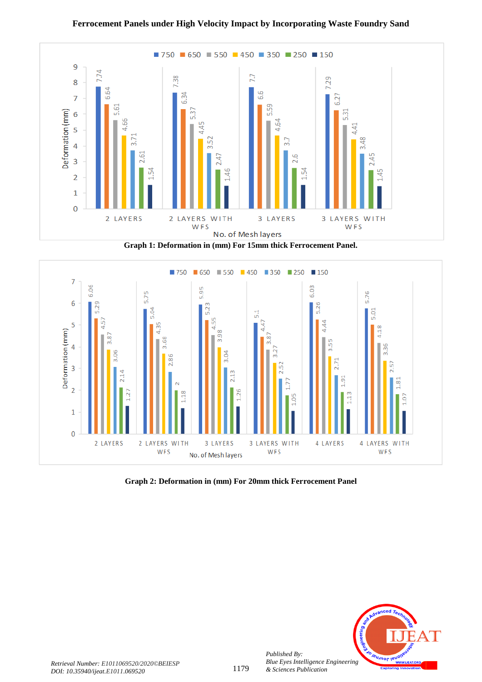

**Graph 1: Deformation in (mm) For 15mm thick Ferrocement Panel.**



**Graph 2: Deformation in (mm) For 20mm thick Ferrocement Panel**



*Published By:*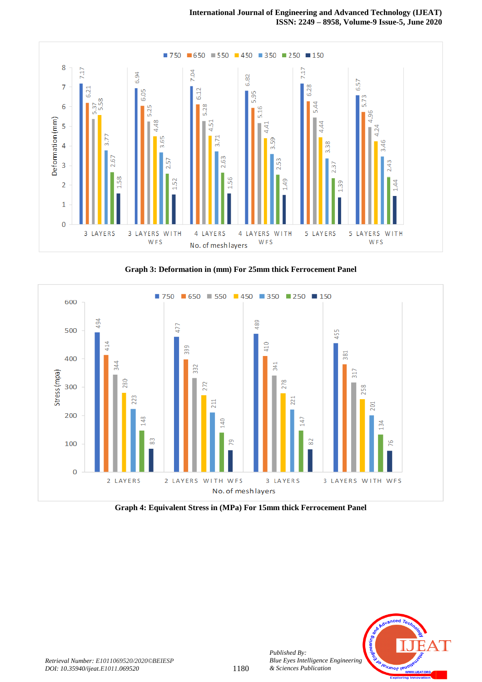

**Graph 3: Deformation in (mm) For 25mm thick Ferrocement Panel**



**Graph 4: Equivalent Stress in (MPa) For 15mm thick Ferrocement Panel**



*Published By:*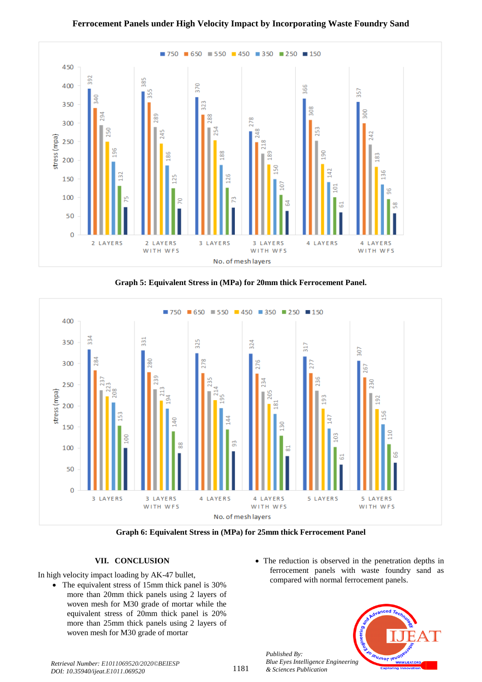

**Graph 5: Equivalent Stress in (MPa) for 20mm thick Ferrocement Panel.**



**Graph 6: Equivalent Stress in (MPa) for 25mm thick Ferrocement Panel**

# **VII. CONCLUSION**

In high velocity impact loading by AK-47 bullet,

- The equivalent stress of 15mm thick panel is 30% more than 20mm thick panels using 2 layers of woven mesh for M30 grade of mortar while the equivalent stress of 20mm thick panel is 20% more than 25mm thick panels using 2 layers of woven mesh for M30 grade of mortar
- The reduction is observed in the penetration depths in ferrocement panels with waste foundry sand as compared with normal ferrocement panels.



*Published By:*